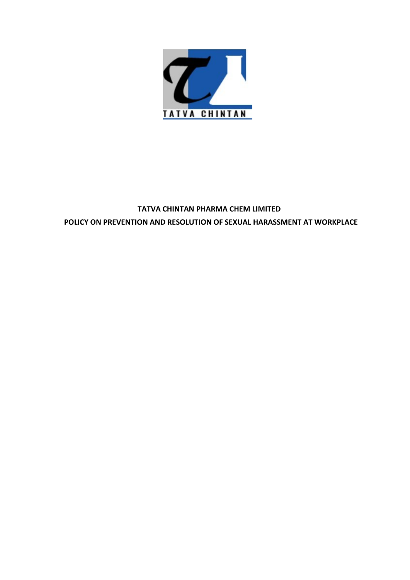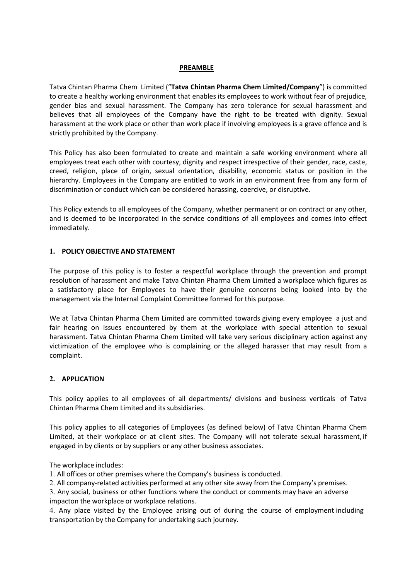# PREAMBLE

**PREAMBLE**<br> **EXECUTE:**<br>
Tatva Chintan Pharma Chem Limited ("Tatva Chintan Pharma Chem Limited/Company") is committed<br>
to create a healthy working environment that enables its employees to work without fear of prejudice,<br>
g **PREAMBLE**<br> **PREAMBLE**<br>
to create a healthy working environment that enables its employees to work without fear of prejudice,<br>
gender bias and sexual harassment. The Company has zero tolerance for sexual harassment and<br>
be **PREAMBLE**<br>Tatva Chintan Pharma Chem Limited ("Tatva Chintan Pharma Chem Limited/Company") is committed<br>to create a healthy working environment that enables its employees to work without fear of prejudice,<br>gender bias and **PREAMBLE**<br> **Example 15 Transmit Company** Chemeter a hall thy working environment that enables its employees to work without fear of prejudice,<br>
gender bias and sexual harassment. The Company has zero tolerance for sexual **PREAMBLE**<br>
Tatva Chintan Pharma Chem Limited ("Tat**va Chintan Pharma Chem Limited/Company**") is committed<br>
to create a healthy working enviroment that enables its employees to work without fear of prejudice,<br>
gender bias **EREAMBLE**<br> **EXEMBELE**<br> **EXEMBEL EXEL TRANSMELE**<br> **EXEL TRANSMELE**<br> **EXEL TRANSMELE**<br> **EXEL TRANSMELE**<br> **EXEL TRANSMELE**<br> **EXEL TRANSMELE**<br> **EXEL TRANSMELE**<br> **EXEL TRANSMELE**<br> **EXEL TRANSMELE**<br> **EXEL TRANSMELEVE TO THE COM PREAMBLE**<br>Tatva Chintan Pharma Chem Limited ("Tatva Chintan Pharma Chem Limited/Company") is committed<br>for create a healthy working environment that enables its employees to work without fear of prejudice,<br>gender bias and employees treat each other with courtesy, dignity and respect irrespective of their gender, race, caste, **PREAIMBLE**<br>
Tatva Chintan Pharma Chem Limited ("Tatva Chintan Pharma Chem Limited/Company") is committed<br>
to create a healthy working environment that enables its employees to work without fear of prejudice,<br>
Believes tha **EREAMBLE**<br>Tatva Chintan Pharma Chem Limited ("Tatva Chintan Pharma Chem Limited/Company") is committed<br>to create a healthy working environment that enables its employees to work without fear of prejudice,<br>gender bias and **EREAMBLE**<br>
Tatva Chintan Pharma Chem Limited ("Tatva Chintan Pharma Chem Limited/Company") is committed<br>
to create a healthy working environment that enables its employees to work without fear of prejudice,<br>
Believes that **EXELMBLE**<br>
Tatva Chintan Pharma Chem Limited (**Tatva Chintan Pharma Chem Limited/Company**") is committed<br>
to create a healthy working environment that enables its employees to work without fer of prejudice,<br>
gender bias a **PREAMBLE**<br>
Tatva Chintan Pharma Chem Limited (**"Tatva Chintan Pharma Chem Limited/Company**") is committed<br>
to create a healthy working environment that enables its employees to work without fear of prejudice,<br>
Believes th Tatva Chintan Pharma Chem Limited ("**Tatva Chintan Pharma Chem Limited/Company**") is committed create a healthy working environment that enables its employees to work without fear of prejudic<br>gender bias and excula harassm

Concursor to the Company and the Company has zero tolerance for sexual harassment and<br>believes that all employees of the Company has zero tolerance for sexual harassment and<br>believes that all employees of the Company have External and make Tatva Chintan Pharma Chem Limited a workplace and interest in the varianty of the Company have the right to be treated with dignity. Sexual sharesment at the work place of order than work place if involvi Concerting that in expresses of the compary inter their enter hay the concerned their department their department their definition of their concerns in the strictly prohibited by the Company.<br>This Policy has also been form management via the Internal Complaint Committee formed for this purpose. This purpose is a state when the state of the company.<br>This Policy has also been formulated to create and maintain a safe working environment where a

immediately.

This Policy has also been formulated to create and maintain a safe working environment where all<br>employest reat a chi other with courtey, dignity and respect irrespective of their gender, race, caste,<br>creed, religion, plac may one, was sussed to the members of certain state and manusian is anti-monder the members that can be them attention of the members trace caste, religion, place of origin, secured, religion and principlition, disability, erieved concurrence time comparison of the comparison of the constrained to the prosible in the hinterachy, employees in the Company are entitled to work in an environment free from any form of biferrachy. Employees in the victimization of the employee who is complaining or the alleged harasser that may result, a set that may form of discrimination or conduct which can be considered harassing, coercive, or disruptive.<br>This Policy extends to complaint. In **POLICY OBJECTIVE AND STATEMENT**<br>The purpose of this policy is to foster a respectful workplace through the prevention and prompt<br>resolution of harassment and make Tatva Chintan Pharma Chem Limited a workplace which fig 1. POLICY OBJECTIVE AND STATEMENT<br>The purpose of this policy is to foster a respectful workplace through the prevention and prompt<br>resolution of harassment and make Tarva Chintan Pharma Chem Limited a workplace which figur The purpose of this policy is to foster a respectful workplace through the prevention and prompt<br>resolution of harassment and make Tatva Chintan Pharma Chem Limited a workplace which figures as<br>a satisfactory place for Emp The purpose of this policy is to foster a respectful workplace through the prevention and prompt<br>resolution of harassment and make Tatva Chintan Pharma Chem Limited a workplace which figures as<br>a satisfactory place for Emp From the proton of harassment and make Tatus of the thermal Chem limited a workplace which figures as astisfactory place for Employees to have their genuine concerns being looked into by the management via the linteral Com The workplace includes:<br>
The workplace of this mumde include to the commutive formed for this purpose.<br>
We at Tatva Chintan Pharma Chem Limited are committed towards giving every emplo<br>
fair hearing on issues encountered b The number of the member of the member of the presentation of the section of the Theorem in the comparison of the member on issues encountered by them at the workplace with special attention to sexual barassment. Tatva Chi We at Tatva Chintan Pharma Chem Limited are committed towards giving every employee a just and<br>fair hearing on issues encountered by them at the workplace with special attention to sexual<br>tharassment. Tatva Chintan Pharma We at rative cuntural ratinian cheir unimited are committed unvarias going every ering on issues encountered by them at the workplace with special attention to sexual<br>fair hearing on issues encountered by them at the workp Inal meaning on Issues encountere of the workplace entity of the workplace with special attention to sexual transment. Tatva Chintan Pharma Chem Limited will take very serious disciplinary action against any victimization

# 2. APPLICATION

In the solution of the employee who is complaining or the alleged harasser that may result from a complaint.<br>
2. APPLICATION<br>
2. APPLICATION<br>
This policy applies to all employees of all departments/ divisions and business victimization of the employee who is complaining of the anteged natasser that may result from a<br>complaint.<br>
2. **APPLICATION**<br>
This policy applies to all employees of all departments/ divisions and business verticals of Tat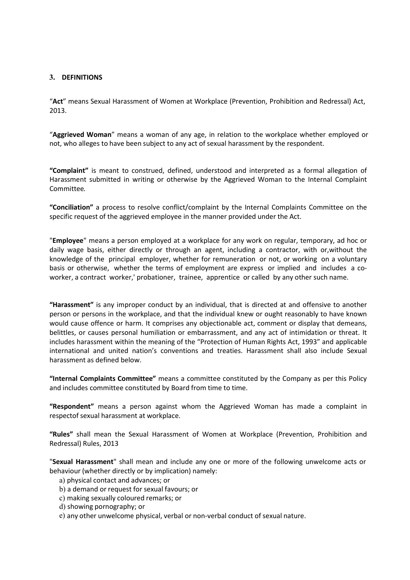# 3. DEFINITIONS

2013.

"<br>"Act" means Sexual Harassment of Women at Workplace (Prevention, Prohibition and Redressal) Act,<br>"Aggrieved Woman" means a woman of any age, in relation to the workplace whether employed or<br>not, who alleges to have been

"<br>
"Act" means Sexual Harassment of Women at Workplace (Prevention, Prohibition and Redressal) Act,<br>
"Aggrieved Woman" means a woman of any age, in relation to the workplace whether employed or<br>
"Complaint" is meant to con **THE SET ALLET SERVIT CONDET SERVIT CONDET ALLET SERVIT AND SET ALLET SEXUAL SPACE "ARRIT CONDET SEXUAL SPACE"**<br>The space of Act, who alleges to have been subject to any act of sexual harassment by the respondent.<br>"Complai **"Act"** means Sexual Harassment of Women at Workplace (Prevention, Prohibition and Redressal) Act,<br>"A**ct"** means Sexual Harassment of Women at Workplace (Prevention, Prohibition and Redressal) Act,<br>"A**ctyle "Actyle"** is me **S.**<br> **CACT CACT CACT CACT CACT CACT CACT CACT CACT CACT CACT CACT CACT CACT CACT CACT CACT CACT CACT CACT CACT CACT CACT CACT CACT CACT CACT CACT CACT CACT CACT** Committee. "Conciliation" a process to resolve conflict/complaint by the Internal Complaints Committee on the

**Specific request of the aggrieved employee in the manner (Prevention, Prohibition and Redressal) Act,**<br> **"Aggrieved Woman"** means a woman of any age, in relation to the workplace whether employed or<br> **"Complaint"** is mean **Solution**<br> **Show "Act"** means Sexual Harassment of Women at Workplace (Prevention, Prohibition and Redressal) Act,<br> **"Aggrieved Woman"** means a woman of any age, in relation to the workplace whether employed or<br> **"Complai** "Act" means Sexual Harassment of Women at Workplace (Prevention, Prohibition and Redressal) Act,<br>2013.<br>
"Aggrieved Woman" means a woman of any age, in relation to the workplace whether employed or<br>
"Complaint" is meant to "Act" means Sexual Harassment of Women at Workplace (Prevention, Prohibition and Redressal) Act,<br>2013.<br>"Aggrieved Woman" means a woman of any age, in relation to the workplace whether employed or<br>not, who alleges to have b "Agrieved Woman" means a woman of any age, in relation to the workplace whether employed or<br>
"Complaint" is meant to construed, defined, understood and interpreted as a formal allegation of<br>
"Complaint" is meant to constru

"Aggrieved Woman" means a woman of any age, in relation to the workplace whether employed or<br>not, who alleges to have been subject to any act of sexual harassment by the respondent.<br>"Complaint" is meant to construed, defin not, who alleges to have been subject to any act of sexual harassment by the respondent.<br>"Complaint" is meant to construed, defined, understood and interpreted as a formal allegation of<br>Harassment submitted in writing or o "Complaint" is meant to construed, defined, understood and interpreted as a formal allegation of Harassment submitted in writing or otherwise by the Aggrieved Woman to the Internal Complaint Committee.<br>
"Conciliation" a pr "Complaint" is meant to construed, defined, understood and interpreted as a formal allegation of<br>Harassment submitted in writing or otherwise by the Aggrieved Woman to the Internal Complaint<br>Committee.<br>Tomplitation" a proc "Complaint" is meant to construed, defined, understood and interpreted as a formal allegation of<br>
"Harassment submitted in writing or otherwise by the Aggrieved Woman to the Internal Complaint<br>
Comciliation" a process to r Harassment tushmitted in writing or otherwise by the Aggrieved Woman to the Internal Complaint<br>
"Conciliation" a process to resolve conflict/complaint by the Internal Complaints Committee on the<br>
"Specific request of the a Committee.<br>
"Conciliation" a process to resolve conflict/complaint by the Internal Complaints Committee<br>
specific request of the aggrieved employee in the manner provided under the Act.<br>
"**Employee**" means a person employe "Conciliation" a process to resolve conflict/complaint by the internal Complaints Committee on the psecific request of the aggreved employed at a workplace for any work on regular, temporary, ad hoc or "Employee" means a p specific request of the aggrieved employee in the manner provided under the Act.<br>"**Employee**" means a person employed at a workplace for any work on regular, temporary, ad hoc or<br>daily wage basis, either directly or throug "**Employee**" means a person employed at a workplace for any work on regular, temporary, ad hoc or daily wage basis, either directly or through an agent, including a contractor, with or whithout the knowledge of the princip Entertative methods of the pricing of the divertigation of the method of the following a contractor, with or, with the shaded of the principal employer, whether for remuneration or not, or working on a voluntary basis or o whowever of the principal means in constration to the solution of the shall photon contents of the stems of employment are express or implied and includes a co-<br>worker, a contract worker, probationer, trainee, apprentice o some or encarrance, interesting or encarrace consideration of entance or entangles. The experiment of the detector, a contract worker,' probationer, trainee, apprentice or called by any other such person or persons in the "Harassment" is any improper conduct by an individual, that is directed at and offensive to another<br>person or persons in the workplace, and that the individual knew or ought reasonably to have known<br>would cause offence or "Harassment" is any improper conduct by an individual, that is directed at and offensive to another<br>person or persons in the workplace, and that the individual knew or ought reasonably to have known<br>would cause offence or son or persons in the workplace, and that the individual knew or ought reasonably to have known<br>son or persons in the workplace, and that the individual knew or ought reasonably to have known<br>titles, or causes personal hum solution are or form, it comprises any objectionable act, comment or display that demeans, it is titlets, or causes personal humilitation or embarrassment, and any at of intimidation or therat. It titles, hareas sersual hu on concerned triation or embarrassment, and any act of intimidation or the rat. It<br>titles, or causes personal humiliation or embarassment, and any act of intimidation or threat. It<br>titles, or causes personal humiliation or these, or causes personar inummatur or embeanisment, and any eac or intermeditional dides harassment within the meaning of the "Protection of Human Rights Act, 1993" and applicable mational and united nation's conventions Coursinate in unit of the meaning of the Fruction of romani nagrica Act, 1993 and applicant<br>errational and united nation's conventions and treaties. Harassment shall also include Sexual<br>assment as defined below.<br>ternal Com

- 
- 
- 
- 
-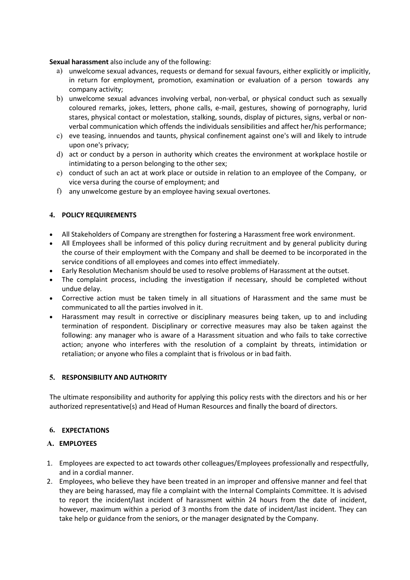- Sexual harassment also include any of the following:<br>
a) unwelcome sexual advances, requests or demand for sexual favours, either explicitly or implicitly,<br>
in return for employment, promotion, examination or evaluation of
- A)<br> **A)** unwelcome sexual advances, requests or demand for sexual favours, either explicitly or implicitly,<br>
in return for employment, promotion, examination or evaluation of a person towards any<br>
company activity;<br>
b) unw **I harassment** also include any of the following:<br>unwelcome sexual advances, requests or demand for sexual favours, either explicitly or implicitly,<br>in return for employment, promotion, examination or evaluation of a perso **I harassment** also include any of the following:<br>univelcome sexual advances, requests or demand for sexual favours, either explicit<br>in return for employment, promotion, examination or evaluation of a person<br>company activi **xual harassment** also include any of the following:<br>
a) unwelcome sexual advances, requests or demand for sexual favours, either explicitly or implicitly,<br>
in return for employment, promotion, examination or evaluation of **I harassment** also include any of the following:<br>unwelcome sexual advances, requests or demand for sexual favours, either explicitly or implicitly,<br>in return for employment, promotion, examination or evaluation of a perso **I harassment** also include any of the following:<br>
unwelcome sexual advances, requests or demand for sexual favours, either explicitly or implicitly,<br>
company activity;<br>
company activity;<br>
unwelcome sexual advances involvi **I harassment** also include any of the following:<br>unwelcome sexual advances, requests or demand for sexual favours, either explicitly or implicitly,<br>in return for employment, promotion, examination or evaluation of a perso **xual harassment** also include any of the following:<br>
a) unwelcome sexual advances, requests or demand for sexual favours, either explicitly or implicitly,<br>
in return for employment, promotion, examination or evaluation of **I harassment** also include any of the following:<br>
unwelcome sexual advances, requests or demand for sexual favours, either explicitly<br>
in return for employment, promotion, examination or evaluation of a person t<br>
company **xual harassment** also include any of the following:<br>
a) unwelcome sexual advances, requests or demand for sexual favours, either explicitly or implicitly,<br>
in return for employment, promotion, examination or evaluation of **I harassment** also include any of the following:<br>
unwelcome sexual advances, requests or demand for sexual favours, either explicitly or implicitly,<br>
in return for employment, promotion, examination or evaluation of a per **xual harassment** also include any of the following:<br>
a) unwelcome sexual advances, requests or demand for sexual favours, either explicitly or implicitly,<br>
in return for employment, promotion, examination or evaluation o **I harassment** also include any of the following:<br>
unvelocme sexual advances, requests or demand for sexual favours, either explicitly or implicitly,<br>
in return for employment, promotion, examination or evaluation of a per **Example 12**<br> **Example 12**<br> **Example 12**<br> **Example 12**<br> **Example 12**<br> **Example 12**<br> **Example 12**<br> **Example 12**<br> **Example 12**<br> **Example 12**<br> **Example 12**<br> **Example 12**<br> **Example 12**<br> **Example 12**<br> **Example 12**<br> **Example 12 Sexual harassment** also include any of the following:<br>
a) unvelcome sexual advances, requests or demand for sexual favours, either ex<br>
in return for employment, promotion, examination or evaluation of a per<br>
company acti All Stakeholders of Company of the Following:<br>
All state and diverse propulsed and for sexual favours, either explicitly or implicitly,<br>
in return for employment, promotion, examination or evaluation of a person towards a In return for employment, promotion, examination or evaluation of a person towards any<br>
company activity,<br>
unwelcome sexual advances involving verbal, on-weirbal, or physical conduct such as sexually<br>
scales of the constra convention that a sexual advances involving verbal, or physical conduct such as sexually<br>
coloured remarks, jokes, letters, phone calls, e-mail, gestures, showing of promography, lurid<br>
coloured remarks, jokes, letters, st
	-
	-
	-
	-

- 
- 
- 
- 
- 
- strace, physical contact or molestation, stalking, sounds, display of pictures, signs, verbal communication which offends the individuals sensibilities and affect her, his performance;<br>
c) eve teasing, innuendos and taunts communicated to all the particular to all the particular to all the particular to all the particular to all a conduct by a person in authority which creates the environment at workplace hostile or influmidating to a person at or conduct by a person in authority which creates the environment at workplace hostile or<br>intimidating to a person belonging to the other sex;<br>conduct of such an act at work place or outside in relation to an employee o Intimatating to a person belonging to the other sex;<br>
conduct of such an act at work place or outside in relation to an employee of the Company, or<br>
view eversa during the course of employment; and<br>
any unwelcome gesture b is outed to such a mact at work place or outside in relation to an employee of the Company, or<br>
vice versa during the course of employment; and<br>
any unwelcome gesture by an employee having sexual overtones.<br>
All Employees vice versa during the course of employment; and<br>any unwelcome gesture by an employee having sexual overtones.<br> **POLICY REQUIREMENTS**<br>
All Stakeholders of Company are strengthen for fostering a Harassment free work environm 4. POLICY REQUIREMENTS<br>
• All Stakeholders of Company are strengthen for fostering a Harassment free work environment<br>
• All Employees shall be informed of this policy during recruitment and by general publicity du<br>
the co • All Stakeholders of Company are strengthen for fostering a Harassment free work environment.<br>• All Employees shall be informed of this policy during recruitment and by general publicity during<br>the course of their employ • All stankolders of Company are stregtten for tostering a Herassment free work environment.<br>
• All Employees shall be informed of this policy during recruitment and by general publicity during<br>
the course of their employm Corrective action must be taken timely in all situations of Harassment and the same must be<br>
corrective action when parties involved in it.<br>
Harassment may result in corrective or disciplinary measures being taken, up to a Concurve action insist the train timely in an studiolis of radassment and the same<br>communicated to all the parties involved in it.<br>Harassment may result in corrective or disciplinary measures being taken, up to an<br>terminat

# 6. EXPECTATIONS

# A. EMPLOYEES

- 
- **CONTIFY CONSECT THE CONSECT THE CONSECT THE CONSECT THE CONSECT THE CONSECT THE CONSECT THE CONSECT THE CONSECT THE CONSECT THE CONSECT THE CONSECT THE CONSECT THE CONSECT THE CONSECT THE CONSECT THE CONSECT THE CONSECT** Transsistent into of respondent. Disciplinary or corrective measures may also be taken against the following: any manager who is avare of a Harassment stiustion and who fiels both, anyone who interferes with the resolution tentimitation of the splottent. Distaplined to the following any manager who is aware of a Harassment situation and who fails to take corrective action; anyone who interferes with the resolution of a complaint by threats, However, any manieger with the resolution of a complaint by threats, intimidation or action, anyone who interferes with the resolution of a complaint by threats, intimidation or retaliation; or anyone who files a complaint et aliation; or anyone who files a complaint that is frivolous or in bad faith.<br> **RESPONSIBILITY AND AUTHORITY**<br> **RESPONSIBILITY AND AUTHORITY**<br> **RESPONSIBILITY AND AUTHORITY**<br> **RESPONSIBILITY AND AUTHORITY**<br> **RESPONSIBILI**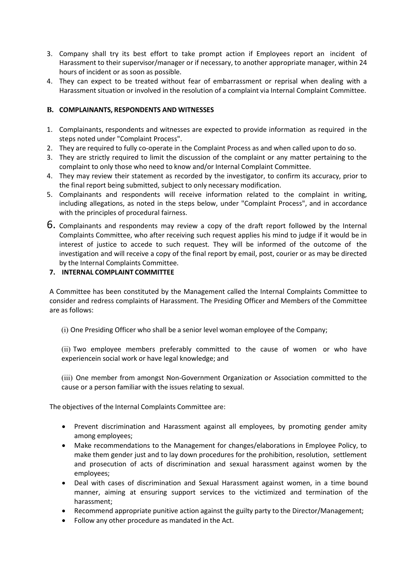- 3. Company shall try its best effort to take prompt action if Employees report an incident of<br>Harassment to their supervisor/manager or if necessary, to another appropriate manager, within 24<br>hours of incident or as soon a Company shall try its best effort to take prompt action if Employees report an incident of<br>Harassment to their supervisor/manager or if necessary, to another appropriate manager, within 24<br>hours of incident or as soon as p Company shall try its best effort to take prompt action if Employees report an incident of<br>Harassment to their supervisor/manager or if necessary, to another appropriate manager, within 24<br>hours of incident or as soon as p 4. They can expect to be treated without fear of embarrassment to their supervisor/manager or if necessary, to another appropriate manager, within 24<br>hours of incident or as soon as possible.<br>4. They can expect to be treat Company shall try its best effort to take prompt action if Employees report an incident of<br>Harassment to their supervisor/manager or if necessary, to another appropriate manager, within 24<br>hours of incident or as soon as p **S. Company shall try its best effort to take prompt action if Employees report an incident of Harassment to their supervisor/manger or if necessary, to another appropriate manager, within 24 hours of incident or as soon a** 1. Company shall try its best effort to take prompt action if Employees report an incident of Harassment to their supervisor/manager or if necessary, to another appropriate manager, within 24<br>hours of incident or as soon a Company shall try its best effort to take prompt action if Employees report an incident of Harassment to their supervisor/manager or if necessary, to another appropriate manager, within 24 hours of incident or as soon as p 2. Company shall try its best effort to take prompt action if Employees report an incident of<br>
Hourso fincident or as soon as possible.<br>
They can expect to be treated without fear of embarrassment or reprisal when dealing 3. Company shall try its best effort to take prompt action if Employees report an incident of Harassment to their supervisor/manger or if necessary, to another appropriate manager, within 24<br>hours of incident or as soon as
- 

- 
- 
- 
- 
- Company shall try its best effort to take prompt action if Employees report an incident of<br>Harassment to their supervisor/manager or if necessary, to another appropriate manager, within 24<br>hours of incident or as soon as p 3. Company shall try its best effort to take prompt action if Employees report an incident of harassment to their supervisor/manager or if necessary, to another appropriate manager, within 24<br>hours of incident or as soon a Company shall try its best effort to take prompt action if Employees report an incident of<br>Harassment to their supervisor/manager or if necessary, to another appropriate manager, within 24<br>nous of incident or as soon as po 5. Company shall try its best effort to take prompt action if Employees report an incident of<br>Harassment to their supervisor/manager or if necessary, to another appropriate manager, within 24<br>hours of incident or as soon a
- Company shall try its best effort to take prompt action if Employees report an incident of the sussement to their supervisor/manager or if necessary, to another appropriate manager, within 24<br>They can expect to be treated Company shall try its best effort to take prompt action if Employees report an incident of<br>Harassment to their supervisor/manager or if necessary, to another appropriate manager, within 24<br>hours of incident or as soon as p 6. Compains shall try its best effort to take prompt action it rempoyes report an incident of the supervisor/manager or if necessary, to another appropriate manager, within 24<br>hours of incident or as soon as possible.<br>Hava Harassment to their supervisor/manager or it necessary, to another appropriate manager, within 24<br>They can expect to be treated without fear of embarrassment or reprisal when dealing with a<br>They can expect to be treated wi nouts of incident or as soosona spossible.<br>They can expect to be treated without fear of embarrassment or reprisal when dealing with a<br>Harassment situation or involved in the resolution of a complaint via Internal Complain Iney can expect to be treated without tear of empararssment or reprisal when dealing with a<br>Harassment situation or involved in the resolution of a complaint via Internal Complaint Committee.<br>COMPLAINANTS, RESPONDENTS AND Harassment situation or involved in the resolution or a complaint via internal complaint committee.<br>
Complainants, respondents and witnesses are expected to provide information as required in the<br>
steps noted under "Compla **3. COMPLAINANTS, RESPONDENTS AND WITNESSES**<br>
.. Complainants, respondents and witnesses are expected to provide information as required in the<br>
steps noted under "Complaint Process".<br>
7. They are required to fully co-oper . Complainants, respondents and witnesses are expected to provide information as required in the steps noted under "Complaint Process".<br>
They are required to fully co-operate in the Complaint Process as and when called upo Complainants, respondents and withreasses are expected to provide information as required in the system of the Complaint Process".<br>
They are exircly required to fully co-operate in the Complaint Process as and when called steps noted under "Complaint Process".<br>
2. They are required to fully co-operate in the Complaint Process as and when c<br>
1. They are strictly required to limit the discussion of the complaint or any n'<br>
1. They are strictl ney are stricty required to limit the discussion of the companit or any matter pertaining to the<br>complaint to only those who need to know and/or Internal Complaint Committee.<br>They may review their statement as recorded by They may review their statement as rectorios by the investigator, to commit its accuracy, prior to the final report being submitted, subject to only necessary modification.<br>
Complainants and respondents will receive inform me man report being sountinets, assuest to only receives information.<br>Complainants and respondents will receive information related to the complaint in writing,<br>changing allegations, as noted in the steps below, under "Com From the member of the cause of the member of the state of the member of the member of the member of the member from among the member of the member of particles of procedural fairness.<br>
Complainants and respondents may rev who the principles of procedural namess.<br>
Complainants and respondents may review a copy of the draft report followed by the Internal<br>
Complainants committee, who after receiving such request applies his mind to judge if i

- 
- Complaints Committee, who after receiving such request applies his mind to judge if it would be interested of justice to accede to such request. They will be informed of the outcome of the investigation and will receive a We metrain complaints Committee.<br>
INTERNAL COMPLAINT COMMITTEE<br>
Sider and redress complaints of Harassment. The Presiding Officer and Members of the Committee<br>
tisider and redress complaints of Harassment. The Presiding Of ittee has been constituted by the Management called the Internal Complaints Committee to<br>and redress complaints of Harassment. The Presiding Officer and Members of the Committee<br>bilows:<br>more presiding Officer who shall be ntitee nass been constituted by the Management called the internal Complaints Committee to<br>and rediess complaints of Harassment. The Presiding Officer and Members of the Committee<br>clubos:<br>two employee members preferably co employees; Governow as follows:<br>
(ii) Two employee members preferably committed to the cause of women or who have<br>
sexperiencein social work or have legal knowledge; and<br>
(iii) One member from amongst Non-Government Organization or A The Presiding Officer who shall be a senior level woman employee of the Company;<br>Two employee members preferably committed to the cause of women or who have<br>reinecein social work or have legal knowledge; and<br>One member fro Recommend approace members preferably committed to the cause of women or who have experiencein social work or have legal knowledge; and<br>(iii) One member from amongst Non-Government Organization or Association committed to
	- harassment;
	-
	-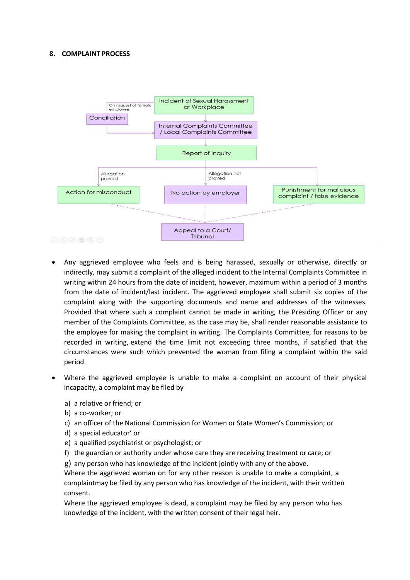

- member of the Complaints Committee, as the case may be, shall render reasonable and complaint is complaint of the Complaint of the Complaints Committee in The Complaints Committee in The Complaints Committee in the complai Any and the employee to making the complaint in writing. The Complaint of the sade of the complement of the complement of the employee who feels and is being harassed, sexually or otherwise, directly or indirectly, may sub **Exception of the monthland in writing, extend to the time limit in the served in writing within 24 hours from the ether simulation of the time limit of the served in the time limit of the time limit of the served in the d** Example the method of the method of the method of the method of the method of the method of the method of the method of the method of the method of the method of the method of the woman from the date of incident/last incid period. **Example 12**<br> **Example 12**<br> **Example 12**<br> **Example 12**<br> **Example 12**<br> **Example 12**<br> **Example 12**<br> **Example 12**<br> **Example 12**<br> **Example 12**<br> **Example 12**<br> **Example 12**<br> **Example 12**<br> **Example 12**<br> **Example 12**<br> **Example 12** Appeal to a Court/<br>
Tribunal<br>
Any aggrieved employee who feels and is being harassed, sexually or otherwise, directly or<br>
indirectly, may submit a complaint of the alleged incident to the Internal Complaints Committee in<br> Appeared employee who feels and is being harassed, sexually or otherwise, directly<br>indirectly, may submit a complaint of the alleged incident to the Internal Complaints Committee<br>writing within 24 hours from the date of in Any aggrieved employee who feels and is being harassed, sexually or otherwise, dindirectly, may submit a complaint of the alleged incident to the Internal Complaints Com<br>midirectly, may submit a complaint of the alleged in Any aggrieved employee who feels and is being harassed, sexually or otherwise, directly or<br>indirectly, may submit a complaint of the alleged incident to the Internal Complaints Committee in<br>primiting within 24 hours from t Any aggrieved employee who feels and is being harassed, sexually or otherwise, directly<br>indirectly, may submit a complaint of the alleged incident to the Internal Complaints Committee<br>invirting within 24 hours from the dat indirectly, may submit a complaint of the alleged incident to the Internal Complaints Committee in<br>twitting within 24 hours from the date of incident, however, maximum within a period of 3 months<br>from the date of incident/ writing whilin 24 hours from the date of incident, however, maximum within a period of 3 months<br>from the date of incident/last incident. The aggreeved employee shall submit six copies of<br>the complaint along with the suppor trom the date of incident/last incident. The aggrieved employee shall submit six copies of the withesess.<br>Provided that where such a complaint cannot be made in writing, the Presiding Officer or any<br>permeher of the Complai complaint along with the supporting documents and name and addresses of the withesest<br>Provided that where such a complaint cannot be made in writing, the Presiding Officer or any<br>member of the Complaints Committee, as the Provided that where such a complaint cannot be made in writting, the Presiding Officer or any person are more between the employee for making the complaint in writing. The Complaints Committee, for reasons to be the emplo the employee for making the complaint in writing. The Complaints Committee, for reasons to be<br>recorded in writing, extend the time limit not exceeding three months, if satisfied that the<br>eircumstances were such which preve recorded in writing, extend the time limit not exceeding three months, if satisfied that the corder order of their provented the woman from filing a complaint within the said period.<br>Where the aggrieved employee is unable
- -
	-
	-
	-
	-
	-
	-

consent.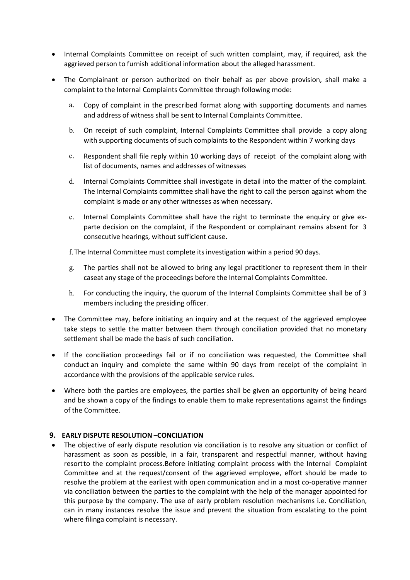- Internal Complaints Committee on receipt of such written complaint, may, if required, ask the<br>
Integrieved person to furnish additional information about the alleged harassment.<br>
Integrals Complaint of person authorized on • Internal Complaints Committee on receipt of such written complaint, may, if required, ask the aggrieved person to furnish additional information about the alleged harassment.<br>
• The Complainant or person authorized on th Internal Complaints Committee on receipt of such written complaint, may, if required, ask the aggrieved person to furnish additional information about the alleged harassment.<br>The Complainant or person authorized on their b
- 
- ternal Complaints Committee on receipt of such written complaint, may, if required, ask the garieved person to furnish additional information about the alleged harassment.<br>
he Complainant or person authorized on their beha al Complaints Committee on receipt of such written complaint, may, if required, ask the<br>ved person to furnish additional information about the alleged harassment.<br>
omplainant or person authorized on their behalf as per abo ternal Complaints Committee on receipt of such written complaint, may, if required, ask the<br>grieved person to furnish additional information about the alleged harassment.<br>The complainant or person authorized on their behal al Complaints Committee on receipt of such written complaint, may, if required, ask the<br>ved person to furnish additional information about the alleged harassment.<br>Supporting documents of the person authorized on their beha
	-
	-
- ternal Complaints Committee on receipt of such written complaint, may, if required, ask the ggrieved person to furnish additional information about the alleged harassment.<br>
The Complainant or person authorized on their beh al Complaints Committee on receipt of such written complaint, may, if required, ask the<br>ved person to furnish additional information about the alleged harassment.<br>
Emplainant or person authorized on their behalf as per abo ternal Complaints Committee on receipt of such written complaint, may, if required, ask the ggrieved person to furnish additional information about the alleged harassment.<br>
The Complainant or person authorized on their beh al Complaints Committee on receipt of such written complaint, may, if required, ask the<br>ved person to furnish additional information about the alleged harassment.<br>Complainant or person authorized on their behalf as per abo al Complaints Committee on receipt of such written complaint, may, if required, ask the<br>ved person to furnish additional information about the alleged harassment.<br>Complainant or person authorized on their behalf as per abo ternal Complaints Committee on receipt of such written complaint, may, if required, ask the gareved person to furnish additional information about the alleged harassment.<br>
The Complainant or person authorized on their beha at compaints Committee on receipt or such written compianin, may, ir required, ask the<br>eved person to furnish additional information about the alleged harassment.<br>
simplainant or person authorized on their behalf as per ab even person to turnish additional information about the alieged narassment.<br>Complainant or person authorized on their behalf as per above provision, shall make a<br>aint to the Internal Complaints Committee through following Examplainant or person authorized on their benal as per above provision, shall make a<br>completant or person authorizes on their period format a per above provision, shall make a<br>a. Copy of complaint in the prescribed format a. Copy of complaint in the prescribed format along with supporting documents and names<br>and address of witness shall be sent to Internal Complaints Committee.<br>
b. On receipt of such complaint, Internal Complaints to the Re Copy or compiant in the prescribed format along with supporting documents and names<br>and address of witness shall be sent to internal Complaints Committee.<br>On receipt of such complaint, Internal Complaints Committee shall p b. On receipt of such complaint, Internal Complaints Committee shall provide a copy along<br>with supporting documents of such complaints to the Respondent within 7 working days<br>c. Respondent shall file reply within 10 workin
	-

- 
- 
- members including the presiding officer.<br>
The committee same provide a copy along with<br>
units upporting documents of such complaints to the Respondent within 7 working days<br>
c. Respondent shall file reply within 10 working Consectative meanings, without sumitable.<br>
1. The Internal Committee must complete its investigation within a period 90 d.<br>
1. The parties shall not be allowed to bring any legal practitioner to representany stage of the p
- c. Mesponent shall me reply within 10 working ags or receipt of the complaint along with<br>
Its of documents, names and addresses of witherses<br>
d. Internal Complaints committee shall investigate in detail into the matter of st or documents, names and addresses or witnesses<br>
d. Internal Complaints Committee shall have the right to call the person against whom the<br>
complaint is made or any other witnesses as when necessary.<br>
e. Internal Commila In methal Complaints Committee shall that we the right to call the person against whom the<br>complaint is made or any other witheseses as when necessary.<br>
c. Internal Complaints Committee shall have the right to terminate th correlation on the completers are with the right to terminate the applicate particles. The provision of the complete its investigation within a period 90 days.<br>
g. The Internal Committee must complete its investigation wit Fire uction of the complaint, it to response the computer of complainant emials absent for some<br>consective hearings, without sufficient cause.<br>
f. The Insternal Committee must complete its investigation within a period 90
- 

g. The parties shall not be allowed to bring any legal practitioner to represent them in their<br>caseat any stage of the proceedings before the Internal Complaints Committee.<br>
h. For conducting the inquiry, the quorum of the Considering the proceedings before the Internal Complaints Committee.<br>
1. For conducting the inquiry, the quorum of the Internal Complaints Committee shall be of 3<br>
1. The Committee may, before initiating an inquiry and at h. For conducting the inquiry, the quorum of the Internal Complaints Committee shall be of 3<br>members including the presiding officer.<br>The Committee may, before initiating an inquiry and at the request of the aggrieved empl h. For conducting the inquiry, the quorum of the Internal Complaints Committee shall be of 3<br>members including the presiding officer.<br>The Committee may, before initiating an inquiry and at the request of the aggrieved empl members including the presiding officer.<br>The Committee may, before initiating an inquiry and at the request of the aggrieved employee<br>settement shall be made the basis of such conciliation.<br>If the conciliation proceedings The Committee may, before initiating an inquiry and at the request of the aggrieved employee<br>stake steps to settle the matter between them through conciliation provided that no monetary<br>settlement shall be made the basis o Ine Committee may, betore instanting an inquiry and at the request or the aggrieved employes<br>take steps to settle the matter between them through conciliation provided that no monetary<br>settlement shall be made the basis of take steps to estite the matter between them through conciliation provided that no monetary<br>settlement shall be made the basis of such conciliation.<br>If the conciliation proceedings fall or if no conciliation was requested, settlement shall be made the basis of such conciliation.<br>If the conciliation proceedings fail or if no conciliation was requested, the Committee shall<br>cocoluct an inquiry and complete the same within 90 days from receipt o If the conciliation proceedings fail or if no conciliation was requested, the Committee shall<br>conduct an inquiry and complete the same within 90 days from receipt of the complaint in<br>accordance with the provisions of the a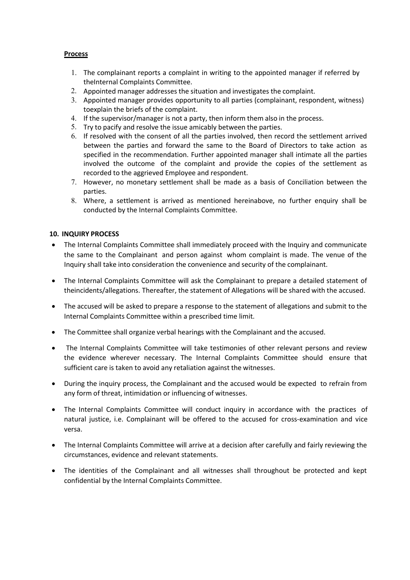# Process

- 
- 
- **1.** The complainant reports a complaint in writing to the appointed manager if referred by<br>the laternal Complaints Committee.<br>2. Appointed manager addresses the situation and investigates the complaint.<br>3. Appointed manag **Example 12**<br>The complainant reports a complaint in writing to the appointed manager if referred by<br>theInternal Complaints Committee.<br>Appointed manager addresses the situation and investigates the complaint.<br>Appointed mana **2.** The complainant reports a complaint in writing to the appointed manager if referred by<br>the internal Complaints Committee.<br>2. Appointed manager addresses the situation and investigates the complaint.<br>3. Appointed manag
- 
- 
- **Example 1.** The complainant reports a complaint in writing to the appointed manager if referred by<br>
the Internal Complaints Committee.<br>
2. Appointed manager addresses the situation and investigates the complaint.<br>
3. Appo SSEE The complainant reports a complaint in writing to the appointed manager if referred by<br>the Internal Complaints Committee.<br>Appointed manager addresses the situation and investigates the complaint.<br>Appointed manager pro **OCESS**<br>
1. The complainant reports a complaint in writing to the appointed manager if referred by<br>
2. Appointed manager addresses the situation and investigates the complaint.<br>
2. Appointed manager addresses the situation **OCESS**<br>
1. The complainant reports a complaint in writing to the appointed manager if referred by<br>
2. Appointed manager addresses the stuation and investigates the complaint.<br>
3. Appointed manager adresses the situation a **COCESS**<br>
1. The complainant reports a complaint in writing to the appointed manager if referred by<br>
2. Appointed manager addresses the situation and investigates the complaint.<br>
3. Appointed manager provides opportunity t **Example 12**<br>The complainant reports a complaint in writing to the appointed manager if referred by<br>the<br>Inteparties and Complaints Committee.<br>Appointed manager provides opportunity to all parties (complainant, respondent, Signtle complainant reports a complaint in writing to the appointed manager if referred by<br>the<br>lenternal Complaints Committee.<br>Appointed manager arddresses the situation and investigates the complaint.<br>Appointed manager pr is<br>
in complainant reports a complaint in writing to the appointed manager if referred by<br>
Appointed manager ardresses the situation and investigates the complaint.<br>
Appointed manager provides opportunity to all parties (c recorded to the aggrieved Employee and respondent metrics.<br>When the complaints committee.<br>Appointed manager addresses the situation and investigates the complaint.<br>Appointed manager provides opportunity to all parties (com **1.** The complainant reports a complaint in writing to the appointed manager if referred by<br>
2. Appointed manager addresses the situation and investigates the complaint.<br>
2. Appointed manager provides opportunity to all pa **OCESS**<br>
1. The complainant reports a complaint in writing to the appointed manager if referred by<br>
thelnternal Complaints Committee.<br>
2. Appointed manager advesses the situation and investigates the complaint.<br>
4. probint **Example 18**<br> **Example 11**<br> **Example 11**<br> **Example 11**<br> **Example 12**<br> **Example 12**<br> **Example 12**<br> **Appointed manager addresses the situation and investigates the complaint.**<br> **Appointed manager provides opportunity to all** 1. The complainant reports a complaint in writing to the appointed manager<br>the leftermal Complaints Committee.<br>
2. Appointed manager provides opportunity to all parties (complainant, respo<br>
13. Appointed manager provides o 1. The complaints reports a complaint in writing to the appointed manager if referred by<br>
2. Appointed manager addresses the situation and investigates the complaint.<br>
3. Appointed manager provides opportunity to all parti the metrical complaints Committee.<br>
The population and providing the stuation and investigates the complainant, respondent, witness)<br>
3. Appointed manager provides opportunity to all parties (complainant, respondent, witne Examples the into consideration the complaint of the complaints of the constant of the constant of the constant of the complaints Complainant, respondent, witness) to the constant of the complaint. The Internal take partic 4. It the supervisor/manager is not a party, then inform them also in the process.<br>
6. If rysolved with the consent of all the parties involved, then record the statement arrived<br>
between the parties and forward the stane between the parties and forward the same to the Board of Directors to take action<br>specified in the recommendation. Further appointed manager shall intimate all the parties<br>involved the outcome of the complaint and provide
	- parties.
	-

- parties.<br>
S. Where, a settlement is arrived as mentioned hereinabove, no further enquiry shall be<br>
conducted by the Internal Complaints Committee.<br> **NQUIRY PROCESS**<br> **NQUIRY PROCESS**<br>
the Internal Complaints Committee shal
- 
- 
- 
- 
- 
- S. Where, a settlement is arrived as mentioned hereinabove, no further enquiry shall be conducted by the Internal Complaints Committee shall immediately proceed with the Inquiry and communicate<br>
The Internal Complainant an **IO. INQUIRY PROCESS**<br>
• The Internal Complainats Committee shall immediately proceed with the linquiry and communicate<br>
the same to the Complainant and person against whom complaint is made. The venue of the<br>
Inquiry sha The internal Complaints Committee will antive absorband the rightly and communicated with the matter of the complainant.<br>The literary shall take into consideration the convenience and security of the complainant.<br>The Inter versa. The Internal Complaints Committee will ask the Complainant to prepare a detailed statement of the<br>incidents/allegations. Thereafter, the statement of Allegations will be shared with the accused.<br>The accused will be asked t From the microsofter and relevant statements. The internal complainant of prepare a response to the statement of allegations will be shared with the accused.<br>
• The accused will be asked to prepare a response to the statem Interatuated completials committee within a prescribed time limit. Online accused.<br>
Internal Complaints Committee within a prescribed time limit.<br>
The Committee shall organize verbal hearings with the Complainant and the a
- 
-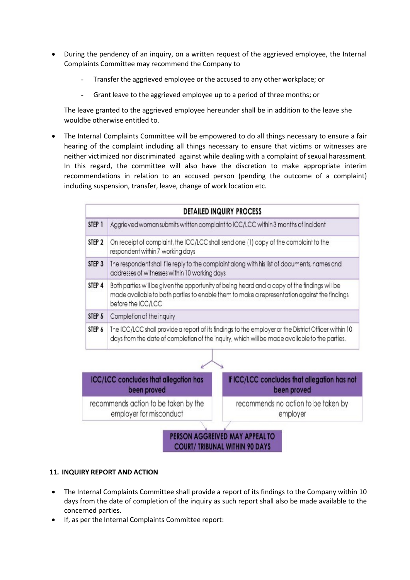- During the pendency of an inquiry, on a written request of the aggrieved employee, the Internal<br>Complaints Committee may recommend the Company to<br>Transfer the aggrieved employee or the accused to any other workplace; or<br> During the pendency of an inquiry, on a written request of the aggrieved employee, the Internal<br>Complaints Committee may recommend the Company to<br>Transfer the aggrieved employee or the accused to any other workplace; or<br>Gr Exprediency of an inquiry, on a written request of the aggrieved employee, the Internal<br>plaints Committee may recommend the Company to<br>Transfer the aggrieved employee or the accused to any other workplace; or<br>Grant leave t Experiency of an inquiry, on a written request of the aggrieved employee, the Internal<br>
alaints Committee may recommend the Company to<br>
- Transfer the aggrieved employee or the accused to any other workplace; or<br>
- Grant l
	-
	-

During the pendency of an inquiry, on a written request of the aggrieved employee, the Internal<br>Complaints Committee may recommend the Company to<br>Transfer the aggrieved employee or the accused to any other workplace; or<br>Gr • During the pendency of an inquiry, on a written request of the aggrieved employee, the Internal Complaints Committee may recommend the Company to<br>
• Transfer the aggrieved employee or the accused to any other workplace; During the pendency of an inquiry, on a written request of the aggrieved employee, the Internal<br>Complaints Committee may recommend the Company to<br>
- Transfer the aggrieved employee or the accused to any other workplace; or During the pendency of an inquiry, on a written request of the aggrieved employee, the Internal Complaints Committee may recommend the Company to<br>
- Transfer the aggrieved employee or the accused to any other workplace; or During the pendency of an inquiry, on a written request of the aggrieved employee, the Internal<br>
Complaints Committee may recommend the Company to<br>
Transfer the aggrieved employee or the accused to any other workplace; or<br> During the pendency of an inquiry, on a written request of the aggrieved employee, the Internal<br>
Complaints Committee may recommend the Company to<br>
Transfer the aggrieved employee or the accused to any other workplace; or During the pendency of an inquiry, on a written request of the aggrieved employee, the Internal<br>
Complaints Committee may recommend the Company to<br>
Transfer the aggrieved employee or the accused to any other workplace; or<br>



- 
-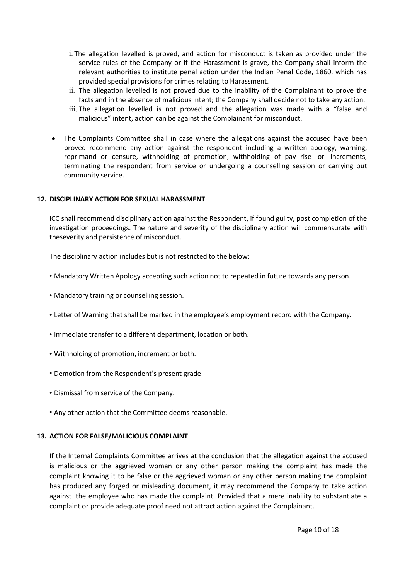- i. The allegation levelled is proved, and action for misconduct is taken as provided under the service rules of the Company or if the Harassment is grave, the Company shall inform the relevant authorities to institute pena the allegation levelled is proved, and action for misconduct is taken as provided under the service rules of the Company or if the Harassment is grave, the Company shall inform the relevant authorities to institute penal a the allegation levelled is proved, and action for misconduct is taken as provided under the service rules of the Company or if the Harassment is grave, the Company shall inform the relevant authorities to institute penal a the allegation levelled is proved, and action for misconduct is taken as provided under the service rules of the Company or if the Harassment is grave, the Company shall inform the relevant authorities to institute penal a i. The allegation levelled is proved, and action for misconduct is taken as provided under the service rules of the Company or if the Harassment is grave, the Company shall inform the relevant authorities to institute pena The allegation levelled is proved, and action for misconduct is taken as provided under the service rules of the Company or if the Harassment is grave, the Company shall inform the relevant authorities to institute penal a i. The allegation levelled is proved, and action for misconduct is taken as provided under the service rules of the Company small inform the relevant authorities to institute penal action under the Indian Penal Code, 1860
- 
- 
- i. The allegation levelled is proved, and action for misconduct is taken as provided under the reviore is exitent authorities to institute penal action under the Indian Penal Code, 1860, which has provided special provisio i. The allegation levelled is proved, and action for misconduct is taken as provided under the service rules of the Company or if the Harassment is grave, the Company shall inform the relevant authorities to institute pen i. The allegation levelled is proved, and action for misconduct is taken as provided under the service rules of the Company or if the Harassment is grave, the Company shall inform the relevant authorities to institute pen i. The allegation levelled is proved, and action for misconduct is taken as provided under the service rules of the Company or if the Harassment is grave, the Company shall inform the relevant autorities to institute pena i. The allegation levelled is proved, and action for misconduct is taken as provid<br>service rules of the Company or if the Harassment is grave, the Company shall<br>relevant authorities to institute penal action under the Indi 1. The allegation levelled is proved, and action for misconduct is taken as provided under the service rules of the Company or if the Harassment is grave, the Company shall inform the relevant authorities to institute pena i. The allegation levelled is proved, and action for misconduct is taken as provided under the service rules of the Company or if the Harassment is grave, the Company shall inform the relevant authorities to institute pena inversion tevretor is proved, and activity and activity in the natural serverity and activity in the relation and the relation under the intelian Penal Code, 1860, which has provided special provisions for crimes relating Exercise to the Completion of the consideration is given the discussion of the company small muonic the complement is the Complement of the discussion in the persistence of misconductions for crimes relating to Harassment. ii. The allegation investigation control the top convert due to the inadility of the Complimiant to prove the matching in the distribution interview in the company shall decide not to take any action.<br>
ii. The allegation l

- 
- 
- 
- 
- 
- 
- 
- 

• Mandatory Written Apology accepting such action not to repeated in future towards any person.<br>
• Mandatory training or counselling session.<br>
• Letter of Warning that shall be marked in the employee's employment record w **• Mandatory training or counselling session.**<br>• Letter of Warning that shall be marked in the employee's employment record with the Company.<br>• Immediate transfer to a different department, location or both.<br>• Withholding • Mandatory training or counselling session.<br>• Letter of Warning that shall be marked in the employee's employment record with the Company.<br>• Immediate transfer to a different department, location or both.<br>• Vithholding of First Company that shall be marked in the employee's employment record with the Company.<br>
Firmediate transfer to a different department, location or both.<br>
Formition from the Respondent's present grade.<br>
Formition from the First the the company of the employee's employment record with the Company.<br>
Immediate transfer to a different department, location or both.<br>
A Withholding of promotion, increment or both.<br>
Demotion from the Respondent's p Finmediate transfer to a different department, location or both.<br>
Formotion from the Respondent's present grade.<br>
Fismissal from service of the Company.<br>
Any other action that the Committee deems reasonable.<br>
ACTION FOR FA r Immediate transfer to a different department, location or both.<br>
• Olsmissal from service of the Company.<br>
• Complaints of the Company.<br>
• Any other action that the Committee deems reasonable.<br>
ACTION FOR FALSE/MALICIOUS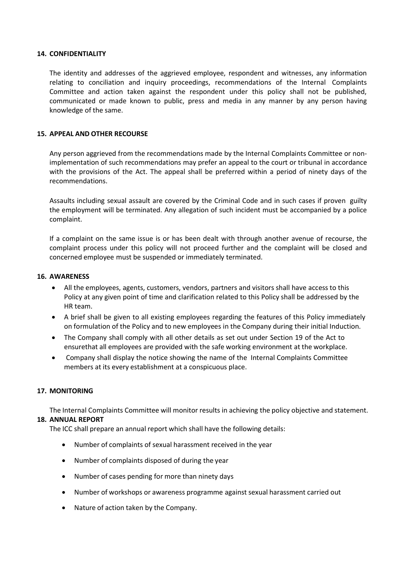**14. CONFIDENTIALITY**<br>The identity and addresses of the aggrieved employee, respondent an<br>relating to conciliation and inquiry proceedings, recommendations<br>Committee and action taken against the respondent under this po<br>co **CONFIDENTIALITY**<br>The identity and addresses of the aggrieved employee, respondent and witnesses, any information<br>relating to conciliation and inquiry proceedings, recommendations of the Internal Complaints<br>Communicated or **CONFIDENTIALITY**<br>The identity and addresses of the aggrieved employee, respondent and witnesses, any information<br>relating to conciliation and inquiry proceedings, recommendations of the Internal Complaints<br>Communicated or CONFIDENTIALITY<br>The identity and addresses of the aggrieved employee, respondent and witnesses, any information<br>relating to conciliation and inquiry proceedings, recommendations of the Internal Complaints<br>Communicated or m **CONFIDENTIALITY**<br>The identity and addresses of the aggrieved employee, respondent and witnesses, any information<br>relating to conciliation and inquiry proceedings, recommendations of the Internal Complaints<br>Communicated or **CONFIDENTIALITY**<br>The identity and addresses of the aggrieved employee, respondent and witnesses, any<br>relating to conciliation and inquiry proceedings, recommendations of the Internal<br>Committice and action taken against th **14. CONFIDENTIALITY**<br>
The identity and addresses of the aggrieved employee, respondent and witnesses, any inf<br>
relating to conciliation and inquiry proceedings, recommendations of the Internal Co<br>
Communicated or made kno **CONFIDENTIALITY**<br>The identity and addresses of the aggrieved employee, respondent and witnesses, any information<br>relating to conciliation and inquiry proceedings, recommendations of the Internal Complaints<br>Committee and a **CONFIDENTIALITY**<br>The identity and addresses of the aggrieved employee, respondent and witnesses, any information<br>relating to conciliation and inquity proceedings, recommendations of the Internal Complaints<br>Communicated or **CONFIDENTIALITY**<br>The identity and addresses of the aggrieved employee, respondent and witnesses, any information<br>relating to conciliation and inquiry proceedings, recommendations of the Internal Complaints<br>commitiecated a **CONFIDENTIALITY**<br>The identity and addresses of the aggrieved employee, respondent and witnesses, any information<br>relating to conciliation and inquiry proceedings, recommendations of the Internal Complaints<br>communicated or **CONFIDENTIALITY**<br>The identity and addresses of the aggrieved employee, respondent and witnesses, any information<br>relating to conciliation and inquiry proceedings, recommendations of the internal Complaints<br>Committee and a The identity and addresses of the aggrieved employee, respondent and witnesses, any information<br>relating to conciliation and inquiry proceedings, recommendations of the Internal Complaints<br>Committee and action taken agains me using and actions of wire agginate employes, recommendations of the linterial Complaints<br>chelating to conclliation and inquity proceedings, recommendations of the linterial Complaints<br>communicated or made known to publi

recommendations. Committee and action taken against the respondent under this policy shall not be published,<br>Committee and action taken against the respondent under this policy shall not be published,<br>communicated or made known to public, **EXECUTE:**<br> **EXECUTE:**<br> **EXECUTE:**<br> **EXECUTE:**<br> **EXECUTE:**<br> **EXECUTE:**<br> **EXECUTE:**<br> **EXECUTE:**<br> **EXECUTE:**<br> **EXECUTE:**<br> **EXECUTE:**<br> **EXECUTE:**<br> **EXECUTE:**<br> **EXECUTE:**<br> **EXECUTE:**<br> **EXECUTE:**<br> **EXECUTE:**<br> **EXECUTE:**<br> **EXECU APPEAL AND OTHER RECOURSE**<br>
All the interactions may prefer an appeal to the commendations may prefer an appeal to the court or tribunal in accordance<br>
with the provisions of the Act. The appeal shall be preferred within EAL AND OTHER RECOURSE<br>
Enerson aggrieved from the recommendations made by the Internal Complaints Committee or non-<br>
emermentation of such recommendations may prefer an appeal to the court or tribunal in accordance<br>
the p **APPEAL AND OTHER RECOURSE**<br>
Implementations made by the Internal Complaints Committee or non-<br>
Implementation of such recommendations may prefer an appeal to the court or tribunal in accordance<br>
with the provisions of the on my ensure from the recommentations many prefer an appeal to the court or tribunal in accordance<br>with the provisions of the Act. The appeal shall be prefered within a period of ninety days of the<br>section the provisions o

complaint.

From the provided with the safe with the safe with through our states if proven guilty<br>he employment will be terminated. Any allegation of such incident must be accompanied by a police<br>or provident must be same issue is or ults including sexual assault are covered by the Criminal Code and in such cases if proven guilty<br>employment will be terminated. Any allegation of such incident must be accompanied by a police<br>abalait.<br>Complaint on the sam complaint.<br>
16 a complaint on the same issue is or has been dealt with through and<br>
16 a complaint process under this policy will not proceed further and the<br>
16. AWARENESS<br>
16. AWARENESS<br>
16. AWARENESS<br>
16. AWARENESS<br>
16.

- If a complaint on the same issue is or has been dealt with frough another avenue of recourse, the<br>complaint process under this policy will not proceed further and the complaint will be closed and<br>concerned employee must be complaint process under this policy will not proceed further and the complaint<br>concerned employee must be suspended or immediately terminated.<br>
18. AWARENESS<br>
• All the employees, agents, customers, vendors, partners and v concerned employee must be suspended or immediately terminated.<br>
• All the employees, agents, customers, vendors, partners and visitors shall have access to this<br>
• Policy at any given point of time and clarification relat
	-
	-
	-

- 
- 
- 
- 
-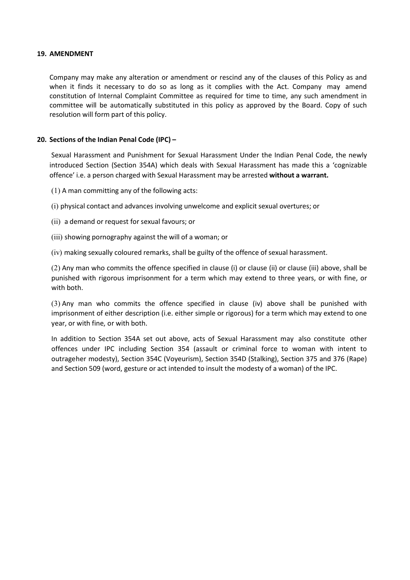**19. AMENDMENT**<br> **Company may make any alteration or amendment or rescind any of the when it finds it necessary to do so as long as it complies with the constitution of Internal Complaint Committee as required for time to AMENDMENT**<br>Company may make any alteration or amendment or rescind any of the clauses of this Policy as and<br>when it finds it necessary to do so as long as it complies with the Act. Company may amend<br>constitution of Intern **AMENDMENT**<br>Company may make any alteration or amendment or rescind any of the clauses of this Policy as and<br>when it finds it necessary to do so as long as it complies with the Act. Company may amend<br>constitution of Intern **AMENDMENT**<br>Company may make any alteration or amendment or rescind any of the clauses of this Policy as and<br>when it finds it necessary to do so as long as it complies with the Act. Company may amend<br>constitution of Intern **AMENDMENT**<br>Company may make any alteration or amendment or rescind any of the clauses of this Policy as and<br>when it finds it necessary to do so as long as it complies with the Act. Company may amend<br>constitution of Intern **AMENDMENT**<br> **Company** may make any alteration or amendment or rescind any of the clauses of this Policy as and<br>
when it finds it necessary to do so as long as it complies with the Act. Company may amend<br>
constitution of I **19. AMENDMENT**<br>
Company may make any alteration or amendment or rescind any of the clauses of this Policy as and<br>
when it finds it necessary to do so as long as it complies with the Act. Company may amend<br>
constitution o **Example 10**<br> **Example 10**<br> **Example 10**<br> **Example 10**<br> **Example 10**<br> **Example 10**<br> **Example 10**<br> **Example 10**<br> **Example 10**<br> **Example 10**<br> **Example 10**<br> **Example 10**<br> **Example 10**<br> **Example 10**<br> **Example 10**<br> **Example 10 AMENDMENT**<br>Company may make any alteration or amendment or rescind any of the clauses of this Policy as and<br>when it finds it necessary to do so as long as it complies with the Act. Company may amend<br>constitution of Intern **Example 10**<br>Company may make any alteration or amendment or rescind any of the clauses of this Policy as and<br>when it finds it necessary to do so as long as it complies with the Act. Company may amend<br>constitution of inter **AMENDMENT**<br>
Company may make any alteration or amendment or rescind any of the clauses of this Policy as and<br>
committing of Internal Complaint Committee as required for time to time, any such amendment in<br>
committee will **Example 18**<br> **Example 10** Company may make any alteration or amendment or rescind any of the clauses of this Policy as and<br>
when it finds it necessary to do so as long as it complies with the Act. Company may amend<br>
commi **EXECT STANDWENT**<br>
Company may make any alteration or amendment or rescind any of the clauses of this Policy as and<br>
when it finds it necessary to do so as long as it complies with the Act. Company may amend<br>
constitution Company may make any alteration or amendment or rescind any of the clauses of this Policy as and<br>when it finds it necessary to do so as long as it complies with the Act. Company may amend<br>constitution of Internal Complaint (iv) making ware torus and the offence specified in clause (ii) one basing a coloured remarks (and conduct the metally committee will be automatizally substituted in this policy as approved by the Board. Copy of such condu

constitution of Internal Complant Committee as required for time to time, any such amendment in<br>committee will be automatically substituted in this policy as approved by the Board. Copy of such<br>resolution will form part of committee will be automatically substituted in this policy as approved by the Board. Lopy or such<br>esolution will form part of this policy.<br>Detail Harassment and Punishment for Sexual Harassment Under the Indian Penal Code, Example 10 This pointy.<br>
Sections of the Indian Penal Code (IPC) –<br>
Sexual Harassment and Punishment for Sexual Harassment Under the Indian<br>
Introduced Section (Section 354A) which deals with Sexual Harassment has<br>
ffence' Sections of the Indian Penal Code (IPC) –<br>Sexual Harassment and Punishment for Sexual Harassment Under the Indian Penal Code, the newly<br>ntroduced Section (Section 354A) which deals with Sexual Harassment has made this a 'c

- 
- 
- 
- 
- 

**Exercisial or the Indial rental code (IPC)<sup>-</sup><br>Exerual Harassment and Punishment for Sexual Harassment Under the Indian Penal Code, the newly<br>Sexual Harassment has made this a 'cognizable<br>offence' i.e. a person charged wit** Sexual Harassment and Punishment for Sexual Harassment Under the Indian Penal Code, the netwooduced Section (Section 354A) which deals with Sexual Harassment has made this a 'cognizz<br>offercee' i.e. a person charged with Se Infunduced Section 1544A with in deals with the modest with sexual Harassment may be arrested **without a warrant.**<br>(1) A man committing any of the following acts:<br>(i) physical contact and advances involving unwelcome and e offerior including any of the following acts:<br>
(i) physical contact and advances involving unwelcome and explicit sexual overtures; or<br>
(ii) showing pornography against the will of a woman; or<br>
(ii) showing pornography aga (1) A man committing any of the following acts:<br>
(i) physical contact and advances involving unwelcome and explicit sexual overtures; or<br>
(ii) a demand or request for sexual favours; or<br>
(ii) showing pornography against th (i) physical contact and advances involving unwelcome and explicit sexual overtures; or<br>
(ii) a demand or request for sexual favours; or<br>
(iii) showing pornography against the will of a woman; or<br>
(iv) making sexually colo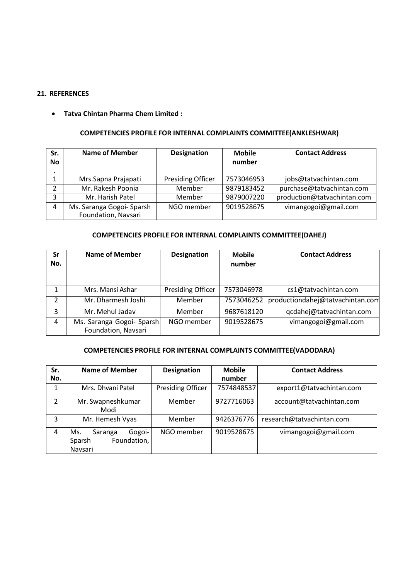# 21. REFERENCES<br>• Tatva Chintan Pharma Chem Limited :<br>COMPETENCIES PROFILE FOR INTERNAL COMPLAINTS COMMI

|                         | <b>REFERENCES</b>                                                    |                          |                         |                             |
|-------------------------|----------------------------------------------------------------------|--------------------------|-------------------------|-----------------------------|
|                         |                                                                      |                          |                         |                             |
|                         |                                                                      |                          |                         |                             |
| $\bullet$               | <b>Tatva Chintan Pharma Chem Limited:</b>                            |                          |                         |                             |
|                         |                                                                      |                          |                         |                             |
|                         | COMPETENCIES PROFILE FOR INTERNAL COMPLAINTS COMMITTEE(ANKLESHWAR)   |                          |                         |                             |
|                         |                                                                      |                          |                         |                             |
| Sr.<br><b>No</b>        | <b>Name of Member</b>                                                | <b>Designation</b>       | <b>Mobile</b><br>number | <b>Contact Address</b>      |
| $\bullet$               |                                                                      |                          |                         |                             |
| $\mathbf{1}$            | Mrs.Sapna Prajapati                                                  | <b>Presiding Officer</b> | 7573046953              | jobs@tatvachintan.com       |
| $\overline{2}$          | Mr. Rakesh Poonia                                                    | Member                   | 9879183452              | purchase@tatvachintan.com   |
| 3                       | Mr. Harish Patel                                                     | Member                   | 9879007220              | production@tatvachintan.com |
| $\overline{\mathbf{4}}$ | Ms. Saranga Gogoi- Sparsh<br>Foundation, Navsari                     | NGO member               | 9019528675              | vimangogoi@gmail.com        |
|                         |                                                                      |                          |                         |                             |
|                         | <b>COMPETENCIES PROFILE FOR INTERNAL COMPLAINTS COMMITTEE(DAHEJ)</b> |                          |                         |                             |
| Sr                      | <b>Name of Member</b>                                                | <b>Designation</b>       | <b>Mobile</b>           | <b>Contact Address</b>      |
| No.                     |                                                                      |                          | number                  |                             |
|                         |                                                                      |                          |                         |                             |

|                | <b>COMPETENCIES PROFILE FOR INTERNAL COMPLAINTS COMMITTEE(ANKLESHWAR)</b>                     |                          |                         |                                                                         |
|----------------|-----------------------------------------------------------------------------------------------|--------------------------|-------------------------|-------------------------------------------------------------------------|
| Sr.<br>No      | <b>Name of Member</b>                                                                         | <b>Designation</b>       | <b>Mobile</b><br>number | <b>Contact Address</b>                                                  |
| $\mathbf{1}$   | Mrs.Sapna Prajapati                                                                           | <b>Presiding Officer</b> | 7573046953              | jobs@tatvachintan.com                                                   |
| $\overline{2}$ | Mr. Rakesh Poonia                                                                             | Member                   | 9879183452              | purchase@tatvachintan.com                                               |
| 3              | Mr. Harish Patel                                                                              | Member                   | 9879007220              | production@tatvachintan.com                                             |
| 4              | Ms. Saranga Gogoi- Sparsh<br>Foundation, Navsari                                              | NGO member               | 9019528675              | vimangogoi@gmail.com                                                    |
| Sr             | <b>COMPETENCIES PROFILE FOR INTERNAL COMPLAINTS COMMITTEE(DAHEJ)</b><br><b>Name of Member</b> | <b>Designation</b>       | <b>Mobile</b>           | <b>Contact Address</b>                                                  |
| No.            |                                                                                               |                          | number                  |                                                                         |
| $\mathbf{1}$   | Mrs. Mansi Ashar                                                                              | <b>Presiding Officer</b> | 7573046978              | cs1@tatvachintan.com                                                    |
| 2              | Mr. Dharmesh Joshi                                                                            | Member                   | 7573046252              | productiondahej@tatvachintan.com                                        |
| 3              | Mr. Mehul Jadav                                                                               | Member                   | 9687618120              | qcdahej@tatvachintan.com                                                |
| 4              | Ms. Saranga Gogoi- Sparsh<br>Foundation, Navsari                                              | NGO member               | 9019528675              | vimangogoi@gmail.com                                                    |
|                |                                                                                               |                          |                         | <b>COMPETENCIES PROFILE FOR INTERNAL COMPLAINTS COMMITTEE(VADODARA)</b> |
| Sr.<br>No.     | <b>Name of Member</b>                                                                         | <b>Designation</b>       | <b>Mobile</b><br>number | <b>Contact Address</b>                                                  |
| $\mathbf{1}$   | Mrs. Dhvani Patel                                                                             | <b>Presiding Officer</b> | 7574848537              | export1@tatvachintan.com                                                |
| 2              | Mr. Swapneshkumar<br>Modi                                                                     | Member                   | 9727716063              | account@tatvachintan.com                                                |
| 3              | Mr. Hemesh Vyas                                                                               | Member                   | 9426376776              | research@tatvachintan.com                                               |

|                | No.                                               |                          | number                  |                                                                         |
|----------------|---------------------------------------------------|--------------------------|-------------------------|-------------------------------------------------------------------------|
|                |                                                   |                          |                         |                                                                         |
| 1              | Mrs. Mansi Ashar                                  | <b>Presiding Officer</b> | 7573046978              | cs1@tatvachintan.com                                                    |
| 2              | Mr. Dharmesh Joshi                                | Member                   | 7573046252              | productiondahej@tatvachintan.com                                        |
| 3              | Mr. Mehul Jadav                                   | Member                   | 9687618120              | qcdahej@tatvachintan.com                                                |
| 4              | Ms. Saranga Gogoi- Sparsh<br>Foundation, Navsari  | NGO member               | 9019528675              | vimangogoi@gmail.com                                                    |
|                |                                                   |                          |                         | <b>COMPETENCIES PROFILE FOR INTERNAL COMPLAINTS COMMITTEE(VADODARA)</b> |
| Sr.<br>No.     | <b>Name of Member</b>                             | <b>Designation</b>       | <b>Mobile</b><br>number | <b>Contact Address</b>                                                  |
| 1              | Mrs. Dhvani Patel                                 | <b>Presiding Officer</b> | 7574848537              | export1@tatvachintan.com                                                |
| $\overline{2}$ | Mr. Swapneshkumar<br>Modi                         | Member                   | 9727716063              | account@tatvachintan.com                                                |
| 3              | Mr. Hemesh Vyas                                   | Member                   | 9426376776              | research@tatvachintan.com                                               |
|                | Saranga<br>Gogoi-<br>Ms.<br>Foundation,<br>Sparsh | NGO member               | 9019528675              | vimangogoi@gmail.com                                                    |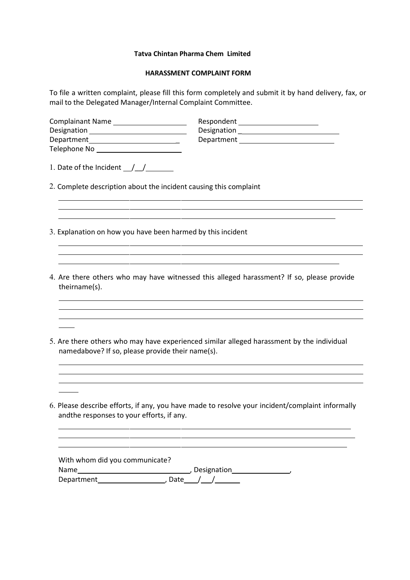Tatva Chintan Pharma Chem Limited<br>HARASSMENT COMPLAINT FORM<br>t, please fill this form completely and submit it by hand delivery, fax, or<br>hager/Internal Complaint Committee. va Chintan Pharma Chem Limited<br>
HARASSMENT COMPLAINT FORM<br>
lease fill this form completely and submit it by hand delivery, fax, or<br>
r/Internal Complaint Committee.<br>
Respondent

|                                                                   | Tatva Chintan Pharma Chem Limited                                                                                |  |  |  |
|-------------------------------------------------------------------|------------------------------------------------------------------------------------------------------------------|--|--|--|
|                                                                   | <b>HARASSMENT COMPLAINT FORM</b>                                                                                 |  |  |  |
| mail to the Delegated Manager/Internal Complaint Committee.       | To file a written complaint, please fill this form completely and submit it by hand delivery, fax, or            |  |  |  |
| Complainant Name                                                  | Respondent _______________________                                                                               |  |  |  |
| Designation ______________________________                        |                                                                                                                  |  |  |  |
| Telephone No ________________________                             |                                                                                                                  |  |  |  |
| 1. Date of the Incident $\_/\_/$                                  |                                                                                                                  |  |  |  |
| 2. Complete description about the incident causing this complaint |                                                                                                                  |  |  |  |
|                                                                   | and the control of the control of the control of the control of the control of the control of the control of the |  |  |  |
| 3. Explanation on how you have been harmed by this incident       |                                                                                                                  |  |  |  |
|                                                                   |                                                                                                                  |  |  |  |
| theirname(s).                                                     | 4. Are there others who may have witnessed this alleged harassment? If so, please provide                        |  |  |  |
|                                                                   |                                                                                                                  |  |  |  |
|                                                                   |                                                                                                                  |  |  |  |

- 
- theirname(s). 5. Complete description about the incident causing this complaint<br>
3. Explanation on how you have been harmed by this incident<br>
4. Are there others who may have witnessed this alleged harassment? If so, please provide<br>
the Complete description about the incident causing this complaint<br>
Explanation on how you have been harmed by this incident<br>
Are there others who may have witnessed this alleged harassment? If so, please provide<br>
theirname(s)
- 
- 6. Explanation of now you have been named by this incluent<br>
4. Are there others who may have witnessed this alleged harassment? If so, please provide<br>
1. The match of the resolve of the provide their name (s).<br>
5. Are ther Are there others who may have witnessed this alleged harassment? If so, please provide<br>
Herimame(s).<br>
<br>
Are there others who may have experienced similar alleged harassment by the individual<br>
<br>
<br>
Please describe efforts, i

|                                           | Are there others who may have experienced similar alleged harassment by the individual                                                                                             |
|-------------------------------------------|------------------------------------------------------------------------------------------------------------------------------------------------------------------------------------|
|                                           | namedabove? If so, please provide their name(s).                                                                                                                                   |
|                                           |                                                                                                                                                                                    |
|                                           | <u> 1989 - Johann Stoff, amerikansk politiker (* 1908)</u>                                                                                                                         |
|                                           |                                                                                                                                                                                    |
|                                           | Please describe efforts, if any, you have made to resolve your incident/complaint informally                                                                                       |
| andthe responses to your efforts, if any. | <u> 1989 - Johann Stoff, amerikansk politiker (* 1908)</u><br><u> 1989 - Andrea Santa Andrea Andrea Andrea Andrea Andrea Andrea Andrea Andrea Andrea Andrea Andrea Andrea Andr</u> |
| With whom did you communicate?            |                                                                                                                                                                                    |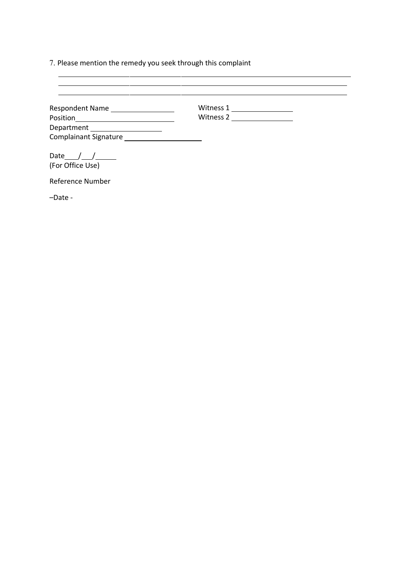| 7. Please mention the remedy you seek through this complaint |                                                                                                                                                                                                                                                                                                                                                                      |  |
|--------------------------------------------------------------|----------------------------------------------------------------------------------------------------------------------------------------------------------------------------------------------------------------------------------------------------------------------------------------------------------------------------------------------------------------------|--|
|                                                              | <u> 1989 - Andrea Santa Andrea Santa Andrea Santa Andrea Santa Andrea Santa Andrea Santa Andrea Santa Andrea San</u><br><u> 1989 - Andrea Santa Andrea Andrea Andrea Andrea Andrea Andrea Andrea Andrea Andrea Andrea Andrea Andrea Andr</u><br><u> 1989 - Andrea Santa Andrea Andrea Andrea Andrea Andrea Andrea Andrea Andrea Andrea Andrea Andrea Andrea Andr</u> |  |
| Respondent Name ___________________                          |                                                                                                                                                                                                                                                                                                                                                                      |  |
|                                                              | Witness 2                                                                                                                                                                                                                                                                                                                                                            |  |
| Department _____________________                             |                                                                                                                                                                                                                                                                                                                                                                      |  |
| Date $\frac{1}{\sqrt{1-\frac{1}{2}}}$                        |                                                                                                                                                                                                                                                                                                                                                                      |  |
| (For Office Use)                                             |                                                                                                                                                                                                                                                                                                                                                                      |  |
| Reference Number                                             |                                                                                                                                                                                                                                                                                                                                                                      |  |
| -Date -                                                      |                                                                                                                                                                                                                                                                                                                                                                      |  |
|                                                              |                                                                                                                                                                                                                                                                                                                                                                      |  |
|                                                              |                                                                                                                                                                                                                                                                                                                                                                      |  |
|                                                              |                                                                                                                                                                                                                                                                                                                                                                      |  |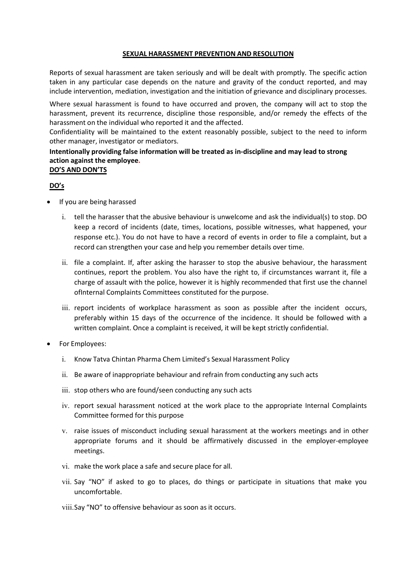**SEXUAL HARASSMENT PREVENTION AND RESOLUTION**<br>Sment are taken seriously and will be dealt with promptly. The specific action<br>case depends on the nature and gravity of the conduct reported, and may<br>ediation, investigation a **SEXUAL HARASSMENT PREVENTION AND RESOLUTION**<br>Reports of sexual harassment are taken seriously and will be dealt with promptly. The specific action<br>taken in any particular case depends on the nature and gravity of the cond **SEXUAL HARASSMENT PREVENTION AND RESOLUTION**<br>Reports of sexual harassment are taken seriously and will be dealt with promptly. The specific action<br>taken in any particular case depends on the nature and gravity of the cond **SEXUAL HARASSMENT PREVENTION AND RESOLUTION**<br>Reports of sexual harassment are taken seriously and will be dealt with promptly. The specific action<br>taken in any particular case depends on the nature and gravity of the cond **SEXUAL HARASSMENT PREVENTION AND RESOLUTION**<br>Reports of sexual harassment are taken seriously and will be dealt with promptly. The specific action<br>taken in any particular case depends on the nature and gravity of the cond **SEXUAL HARASSMENT PREVENTION AND RESOLUTION**<br>Reports of sexual harassment are taken seriously and will be dealt with promptly. The specific action<br>taken in any particular case depends on the nature and gravity of the cond **SEXUAL HARASSMENT PREVENTION AND RESOLUTION**<br>Reports of sexual harassment are taken seriously and will be dealt with promptly. The specific action<br>in any particular case depends on the nature and gravity of the conduct re **SEXUAL HARASSMENT PREVENTION AND RESOLUTION**<br>Reports of sexual harassment are taken seriously and will be dealt with promptly. The specific action<br>taken in any particular case depends on the nature and gravity of the cond **SEXUAL HARASSMENT PREVENTION AND RESOLUTION**<br>Reports of sexual harassment are taken seriously and will be dealt with promptly. The specific action<br>taken in any particular case depends on the nature and gravity of the cond **SEXUAL HARASSMENT PREVENTION AND RESOLUTION**<br>Reports of sexual harassment are taken seriously and will be dealt with promptly. The specific action<br>taken in any particular case depends on the nature and gravity of the cond **SEXUAL HARASSMENT PREVENTION AND RESOLUTION**<br>Reports of sexual harassment are taken seriously and will be dealt with promptly. The speaken in any particular case depends on the nature and gravity of the conduct reported<br>i

# DO's

- 
- **SEXUAL HARASSMENT PREVENTION AND RESOLUTION**<br> **Reports of sexual harassment are taken seriously and will be dealt with promptly. The spectral<br>
taken in any particular case depends on the nature and gravity of the conduct SEXUAL HARASSMENT PREVENTION AND RESOLUTION**<br>
In in any particular case depends on the nature and gravity of the conduct reported, and may<br>
de intervention, mediation, investigation and the initiation of grievance and dis **EXADEL PLANES SURFOR PREVENTION AND RESOLUTON**<br>
of sexual harasment are taken seriously and will be dealt with promptly. The specific action<br>
any particular case depends on the nature and gravity of the conduct reported, of sexual harassment are taken seriously and will be dealt with promptly. The specific action<br>any particular case depends on the nature and gravity of the conduct reported, and may<br>intervention, mediation, investigation an of sexuar marassiment are tear sensuousy and wind to elect with plumpty. The specific action and the conduct reported, and may intervention, mediation, investigation and the initiation of grievance and disciplinary process ide intervention, mediation, investigation and the initiation of grievance and disciplinary processes.<br>
Exerte exval harassment is found to have occurred and proven, the company will act to stop the<br>
Instement on the indiv sexual harassment is found to have occurred and proven, the company will act to stop the<br>enent on tervent its recurrence, discipline those responsible, and/or remedy the effects of the<br>enent on the individual who reported ent, prevent its recurrence, discipline those responsible, and/or remedy the effects of the<br>entrion the individual who repords it and the affected.<br>
In this police, whetigator or mediators.<br>
In analy providing false inform enen on the individual who reported it and the affected.<br>
Intiality will be maintained to the extent reasonably possible, subject to the need to inform<br>
anager, investigator or mediators.<br> **gainst the employee.**<br> **URE SEAR** Framanager, investigator or mediators.<br>
The increase the employee.<br>
The arage after employee.<br>
Somal product employee.<br>
Somal product employee.<br>
I. tell the harasser that the abusive behaviour is unwelcome and ask the ind mally providing false information will be treated as in-discipline and may lead to strong<br>gainst the employee.<br>
10 DONTS<br>
are being harassed<br>
tell the harasser that the abusive behaviour is unwelcome and ask the individual **action against the employee.**<br> **Oo's**<br> **EO's**<br> **EO's**<br> **EO's AND DONYTS**<br> **EO's**<br> **EV**<br> **EV**<br> **EV**<br> **EV**<br> **EV**<br> **EV**<br> **EV**<br> **EV**<br> **EV**<br> **EV**<br> **EV**<br> **EV**<br> **EV**<br> **EV**<br> **EV**<br> **EV**<br> **EV**<br> **EV**<br> **EV**<br> **EV**<br> **EV**<br> **EV**<br> **EV**<br> in the matter of the abusive behaviour is unwelcome and ask the individual(s) to stop. DO<br>
keep a record of incidents (date, times, locations, possible witnesses, what happened, your<br>
response etc.). You do not have to hav ii. ell the harasser that the abusive behaviour is unwelcome and ask the individual(s) to stop. DO<br>
beep a record of incidents (date, times, locations, possible witnesses, what happened, your<br>
response etc.). You do not ha
	- i. Lettin francasser that the abus we benavior burewicolme and as whe minuvolants) to stop in the second of incidents (date, times, locations, possible witnesses, what happened, your response etc.). You do not have to have response etc.). You do not have to have a record of events in order to file a complaint, but a<br>record can strengthen your case and help you remember details over time.<br>ii. file a complaint. If, after asking the harasser to record can strengthen your case and help you remember details over time.<br>
	file a complaint. If, after asking the harasser to stop the abusive behaviour, the harassment<br>
	file a compluent. The problem. You also have the righ ii. file a complaint. If, after asking the harasser to stop the abusive behaviour, the harassment<br>
	continues, report the problem. You also have the right to, if cricumstances warrant it, file a<br>
	charge of assault with the continues, report the problem. You also have the right to, if circumstances warrant it, file a<br>charge of assault with the police, however it is highly reconnended that first use the channel<br>ofinternal Complaints Committees
	- of increment companins committees constitute for the purpose.<br>
	III: report incidents of workplace harassment as soon as possible after the incident occurs,<br>
	verferably within 15 days of the occurrence of the incidence. It
- -
	-
	-
	-
- meetings. in: Epoty incuents or wompate inarisament as soon as pussine are in enclouse that increases the incidence. It should be followed with a written complaint, Once a complaint is received, it will be kept strictly confidential ior Employees:<br>i. Know Tatva Chintan Pharma Chem Limited's Sexual Harassment Policy<br>ii. Be aware of inappropriate behaviour and refrain from conducting any such acts<br>iii. stop others who are found/seen conducting any such
	-
	- uncomfortable.
	-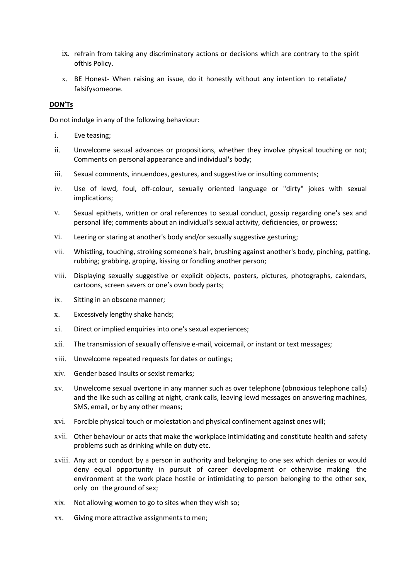- ix. refrain from taking any discriminatory actions or decisions which are contrary to the spirit<br>of this Policy.<br>x. BE Honest- When raising an issue, do it honestly without any intention to retaliate/<br>disifysomeone. refrain from taking any discriminatory actions or decisions which are contrary<br>ofthis Policy.<br>BE Honest- When raising an issue, do it honestly without any intention to l<br>falsifysomeone. ix. refrain from taking any discriminatory actions or decisions which are contrary to the spirit of<br>this Policy.<br>x. BE Honest- When raising an issue, do it honestly without any intention to retaliate/<br>falsify some one.<br><br>no ix. refrain from taking any discriminatory actions or decisions which are contra<br>of this Policy.<br>
2. BE Honest- When raising an issue, do it honestly without any intention to<br>
falsify someone.<br> **ON'Ts**<br>
2. Onot indulge in refrain from taking any discriminatory actions or decisions which are contrary to the spirit<br>
Of this Policy.<br>
BE Honest- When raising an issue, do it honestly without any intention to retaliate/<br>
falsify someone.<br>
Induge
	- falsifysomeone.

# DON'Ts

- 
- ix. refrain from taking any discriminatory actions or decisions which are contrary to the spirit<br>of this Policy.<br>The Honest-When raising an issue, do it honestly without any intention to retaliate/<br>falsifysomeone.<br>DONTs<br>Do ix. refrain from taking any discriminatory actions or decisions which are contrary to the spirit<br>of this Policy.<br>X. BE Honest-When raising an issue, do it honestly without any intention to retaliate/<br>falsify someone.<br>DOMTs ix. refrain from taking any discriminatory actions or decisions which are contrary to the spirit<br>of this Policy.<br>The Honest-When raising an issue, do it honestly without any intention to retaliate/<br>sisifysomeone.<br>Intimulat ix. refrain from taking any discriminatory actions or decisions which are contrary to the spirit<br>
of this Policy.<br>
2. BE Honest- When raising an issue, do it honestly without any intention to retallate/<br>
1981<br>
1991<br>
1992<br> ix. refrain from taking any discriminatory actions or decisions which are contrary to the spirit<br>of this Policy.<br>
x. BE Honest- When raising an issue, do it honestly without any intention to retaliate/<br>
faisify someone.<br>
i i. Eve teasing;<br>
ii. Unwelcome sexual advances or propositions, whether they involve physical touching or not<br>
Comments on personal appearance and individual's body;<br>
iii. Sexual comments, innuendoes, gestures, and suggest
- 
- implications;
- 
- 
- refrain from taking any discriminatory actions or decisions which are contrary to the spirit<br>of this Policy.<br>BE Honest-When raising an issue, do it honestly without any intention to retaliate/<br>falsifysomeone.<br>It als also t vi. Staring or staring an issue, do it honestly without any intention to retaliate/<br>
Staring: distiysomeone.<br>
Contriduge in any of the following behaviour:<br>
i. Eve teasing:<br>
ii. Unwelcome sexual advances or propositions, w x. is thonst- when raising an issue, do it nonestly without any intention to retaliate/<br>
stroking-<br>
stroking, the following behaviour:<br>
i. Eve teasing:<br>
i. Unwelcome sexual advances or propositions, whether they involve ph ralstlysomeone.<br>
Indulge in any of the following behaviour:<br>
Eve teasing;<br>
Eve teasing;<br>
Comments on personal appearance and individual's body;<br>
Sexual comments in personal appearance and individual's body;<br>
Sexual comment **ONTS**<br>
i. Eve teasing;<br>
i. Eve teasing;<br>
i. Use of level, following behaviour:<br>
comments on personal appearance and individual's body;<br>
comments on personal appearance and individual's body;<br>
i. Sexual comments, innuendoe ndulge in any of the following behaviour:<br>
Eve teasing;<br>
Unwelcome sexual advances or propositions, whether they involve physical touching or not;<br>
Comments on personal appearance and individual's body;<br>
Sexual comments, i ii. Unwelcome sexual advances or propositions, whether they involve physical touching or not;<br>
Comments on personal appearance and individual's body;<br>
iii. Sexual comments, innuendoes, gestures, and suggestive or insulting Comments on personal appearance and individual's body;<br>
Sexual comments, innuendoes, gestures, and suggestive or insulting comments;<br>
iv. Use of leved, foul, off-colour, sexually oriented language or "dirty" jokes with sex Existing the transmission of sexual comments, the original time dialy discussed or "dirty" jokes with sexual implications;<br>
iv. Use of leved, foul, off-colour, sexually oriented language or "dirty" jokes with sexual<br>
impli
- 
- 
- 
- 
- 
- 
- 
- iv. Use of lewd, foul, off-colour, sexually oriented language or "dirty" jokes with sexual<br>
implications;<br>
sexual epithets, written or oral references to sexual conduct, gossip regarding one's sex and<br>
personal life; comme xiv.<br>Sexual epithets, written or oral references to sexual conduct, gossip regarding one's sex and<br>personal life; comments about an individual's sexual activity, deficiencies, or prowess;<br>vi.<br>Leering or staring at another' personal life; comments about an individual's sexual activity, deficiencies, or prowess;<br>vi. Leering or staring at another's body and/or sexually suggestive gesturing;<br>vii. Whistling, touching, stroking someone's hair, bru Electing or staring at another's body and/or sexually suggestive gesturing;<br>
Whistling, touching, stroking someone's hair, brushing against another's body, pinching, patting,<br>
Whistling, touching, groping, kissing or fondl Leering or staring at another's body and/or sexually suggestive gesturing;<br>Whistling, touching, stroking someone's hair, brushing against another's body, pinching, patting,<br>rubbing; grabbing, groping, kissing or fondling a vii. Whistling, touching, stroking someones hair, brushing against another's body, pinching, patting,<br>
viii. Displaying sexually suggestive or explicit objects, posters, pictures, photographs, calendars,<br>
cartoons, screen
- 
- 
- vii. Displaying sexually suggestive or explicit objects, posters, pictures, photographs, calendars,<br>cartoons, screen savers or one's own body parts;<br>i.e. Sitting in an obscene manner;<br>x. Excessively lengthy shake hands;<br>xi Displaying sexually suggestive or explicit objects, posters, pictures, photographs, calendars,<br>Cartoons, screen savers or one's own body parts;<br>Sitting in an obscene manner;<br>Excessively lengthy shake hands;<br>Direct or impli xivii. Sitting in an obscene manner;<br>x. Excessively lengthy shake hands;<br>xii. The transmission of sexually offensive e-mail, voicemail, or instant or text messages;<br>xii. Univelcome repeated requests for dates or outings;<br>x Sitting in an obscene manner;<br>Excessively lengthy shake hands;<br>Direct or implied enquiries into one's sexual experiences;<br>The transmission of sexually offensive e-mail, voicemail, or instant or text messages;<br>Directione re Excessively lengthy shake hands;<br>Direct or implied enquiries into one's sexual experiences;<br>The transmission of sexually offensive e-mail, voicemail, or instant or text messages;<br>Unwelcome repeated requests for dates or ou Excessively lengthy shake hallus;<br>Direct or implied enquiries into one's sexual experiences;<br>The transmission of sexually offensive e-mail, voicemail, or instant or text messages;<br>Directome repeated requests for dates or o xi. Direct of implied enquines into one's sexual experiences;<br>xii. The transmission of sexually offensive e-mail, voicemail, or instant or text messages;<br>xii. Unwelcome repeated requests for dates or outings;<br>xiv. Gender b xin. The draishinsholt of sextaing offerious exerting, or instant of lext fitessages,<br>xit. Univelcome repeated requests for dates croutings;<br>xiv. Gender based insults or sexist remarks;<br>xiv. Divelomes explodence in any man
- 
-